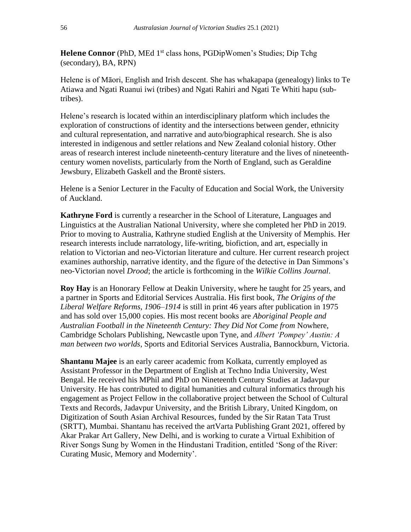**Helene Connor** (PhD, MEd 1<sup>st</sup> class hons, PGDipWomen's Studies; Dip Tchg (secondary), BA, RPN)

Helene is of Māori, English and Irish descent. She has whakapapa (genealogy) links to Te Atiawa and Ngati Ruanui iwi (tribes) and Ngati Rahiri and Ngati Te Whiti hapu (subtribes).

Helene's research is located within an interdisciplinary platform which includes the exploration of constructions of identity and the intersections between gender, ethnicity and cultural representation, and narrative and auto/biographical research. She is also interested in indigenous and settler relations and New Zealand colonial history. Other areas of research interest include nineteenth-century literature and the lives of nineteenthcentury women novelists, particularly from the North of England, such as Geraldine Jewsbury, Elizabeth Gaskell and the Brontë sisters.

Helene is a Senior Lecturer in the Faculty of Education and Social Work, the University of Auckland.

**Kathryne Ford** is currently a researcher in the School of Literature, Languages and Linguistics at the Australian National University, where she completed her PhD in 2019. Prior to moving to Australia, Kathryne studied English at the University of Memphis. Her research interests include narratology, life-writing, biofiction, and art, especially in relation to Victorian and neo-Victorian literature and culture. Her current research project examines authorship, narrative identity, and the figure of the detective in Dan Simmons's neo-Victorian novel *Drood*; the article is forthcoming in the *Wilkie Collins Journal*.

**Roy Hay** is an Honorary Fellow at Deakin University, where he taught for 25 years, and a partner in Sports and Editorial Services Australia. His first book, *The Origins of the Liberal Welfare Reforms, 1906–1914* is still in print 46 years after publication in 1975 and has sold over 15,000 copies. His most recent books are *Aboriginal People and Australian Football in the Nineteenth Century: They Did Not Come from* Nowhere, Cambridge Scholars Publishing, Newcastle upon Tyne, and *Albert 'Pompey' Austin: A man between two worlds*, Sports and Editorial Services Australia, Bannockburn, Victoria.

**Shantanu Majee** is an early career academic from Kolkata, currently employed as Assistant Professor in the Department of English at Techno India University, West Bengal. He received his MPhil and PhD on Nineteenth Century Studies at Jadavpur University. He has contributed to digital humanities and cultural informatics through his engagement as Project Fellow in the collaborative project between the School of Cultural Texts and Records, Jadavpur University, and the British Library, United Kingdom, on Digitization of South Asian Archival Resources, funded by the Sir Ratan Tata Trust (SRTT), Mumbai. Shantanu has received the artVarta Publishing Grant 2021, offered by Akar Prakar Art Gallery, New Delhi, and is working to curate a Virtual Exhibition of River Songs Sung by Women in the Hindustani Tradition, entitled 'Song of the River: Curating Music, Memory and Modernity'.